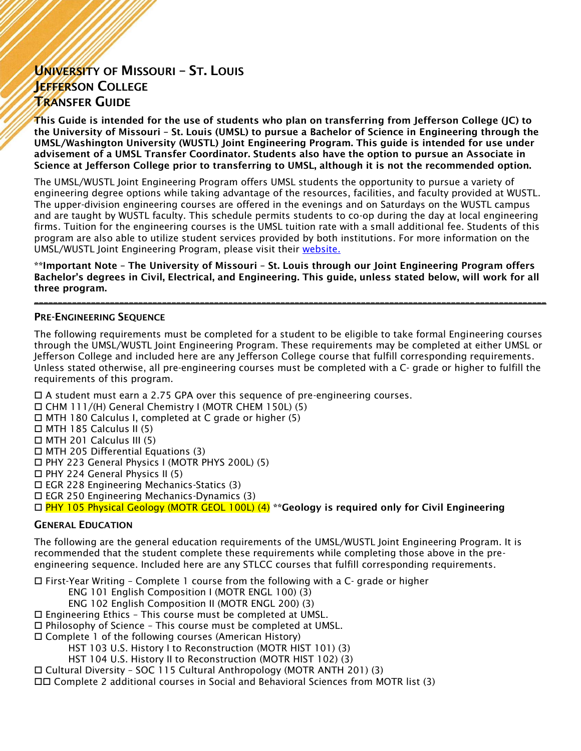## UNIVERSITY OF MISSOURI – ST. LOUIS JEFFERSON COLLEGE TRANSFER GUIDE

This Guide is intended for the use of students who plan on transferring from Jefferson College (JC) to the University of Missouri – St. Louis (UMSL) to pursue a Bachelor of Science in Engineering through the UMSL/Washington University (WUSTL) Joint Engineering Program. This guide is intended for use under advisement of a UMSL Transfer Coordinator. Students also have the option to pursue an Associate in Science at Jefferson College prior to transferring to UMSL, although it is not the recommended option.

The UMSL/WUSTL Joint Engineering Program offers UMSL students the opportunity to pursue a variety of engineering degree options while taking advantage of the resources, facilities, and faculty provided at WUSTL. The upper-division engineering courses are offered in the evenings and on Saturdays on the WUSTL campus and are taught by WUSTL faculty. This schedule permits students to co-op during the day at local engineering firms. Tuition for the engineering courses is the UMSL tuition rate with a small additional fee. Students of this program are also able to utilize student services provided by both institutions. For more information on the UMSL/WUSTL Joint Engineering Program, please visit their [website.](https://bulletin.umsl.edu/jointundergraduateengineeringprogram/) 

\*\*Important Note – The University of Missouri – St. Louis through our Joint Engineering Program offers Bachelor's degrees in Civil, Electrical, and Engineering. This guide, unless stated below, will work for all three program.

\_\_\_\_\_\_\_\_\_\_\_\_\_\_\_\_\_\_\_\_\_\_\_\_\_\_\_\_\_\_\_\_\_\_\_\_\_\_\_\_\_\_\_\_\_\_\_\_\_\_\_\_\_\_\_\_\_\_\_\_\_\_\_\_\_\_\_\_\_\_\_\_\_\_\_\_\_\_\_\_\_\_\_\_\_\_\_\_\_\_\_\_\_\_\_\_\_\_\_\_\_\_\_\_\_\_\_\_

## PRE-ENGINEERING SEQUENCE

The following requirements must be completed for a student to be eligible to take formal Engineering courses through the UMSL/WUSTL Joint Engineering Program. These requirements may be completed at either UMSL or Jefferson College and included here are any Jefferson College course that fulfill corresponding requirements. Unless stated otherwise, all pre-engineering courses must be completed with a C- grade or higher to fulfill the requirements of this program.

 $\Box$  A student must earn a 2.75 GPA over this sequence of pre-engineering courses.

CHM 111/(H) General Chemistry I (MOTR CHEM 150L) (5)

- MTH 180 Calculus I, completed at C grade or higher (5)
- $\Box$  MTH 185 Calculus II (5)
- $\Box$  MTH 201 Calculus III (5)

 $\Box$  MTH 205 Differential Equations (3)

PHY 223 General Physics I (MOTR PHYS 200L) (5)

PHY 224 General Physics II (5)

EGR 228 Engineering Mechanics-Statics (3)

EGR 250 Engineering Mechanics-Dynamics (3)

 $\Box$  PHY 105 Physical Geology (MOTR GEOL 100L) (4) \*\* Geology is required only for Civil Engineering

## GENERAL EDUCATION

The following are the general education requirements of the UMSL/WUSTL Joint Engineering Program. It is recommended that the student complete these requirements while completing those above in the preengineering sequence. Included here are any STLCC courses that fulfill corresponding requirements.

 $\Box$  First-Year Writing – Complete 1 course from the following with a C- grade or higher

ENG 101 English Composition I (MOTR ENGL 100) (3)

ENG 102 English Composition II (MOTR ENGL 200) (3)

Engineering Ethics – This course must be completed at UMSL.

 $\square$  Philosophy of Science - This course must be completed at UMSL.

Complete 1 of the following courses (American History)

HST 103 U.S. History I to Reconstruction (MOTR HIST 101) (3)

HST 104 U.S. History II to Reconstruction (MOTR HIST 102) (3)

Cultural Diversity – SOC 115 Cultural Anthropology (MOTR ANTH 201) (3)

Complete 2 additional courses in Social and Behavioral Sciences from MOTR list (3)